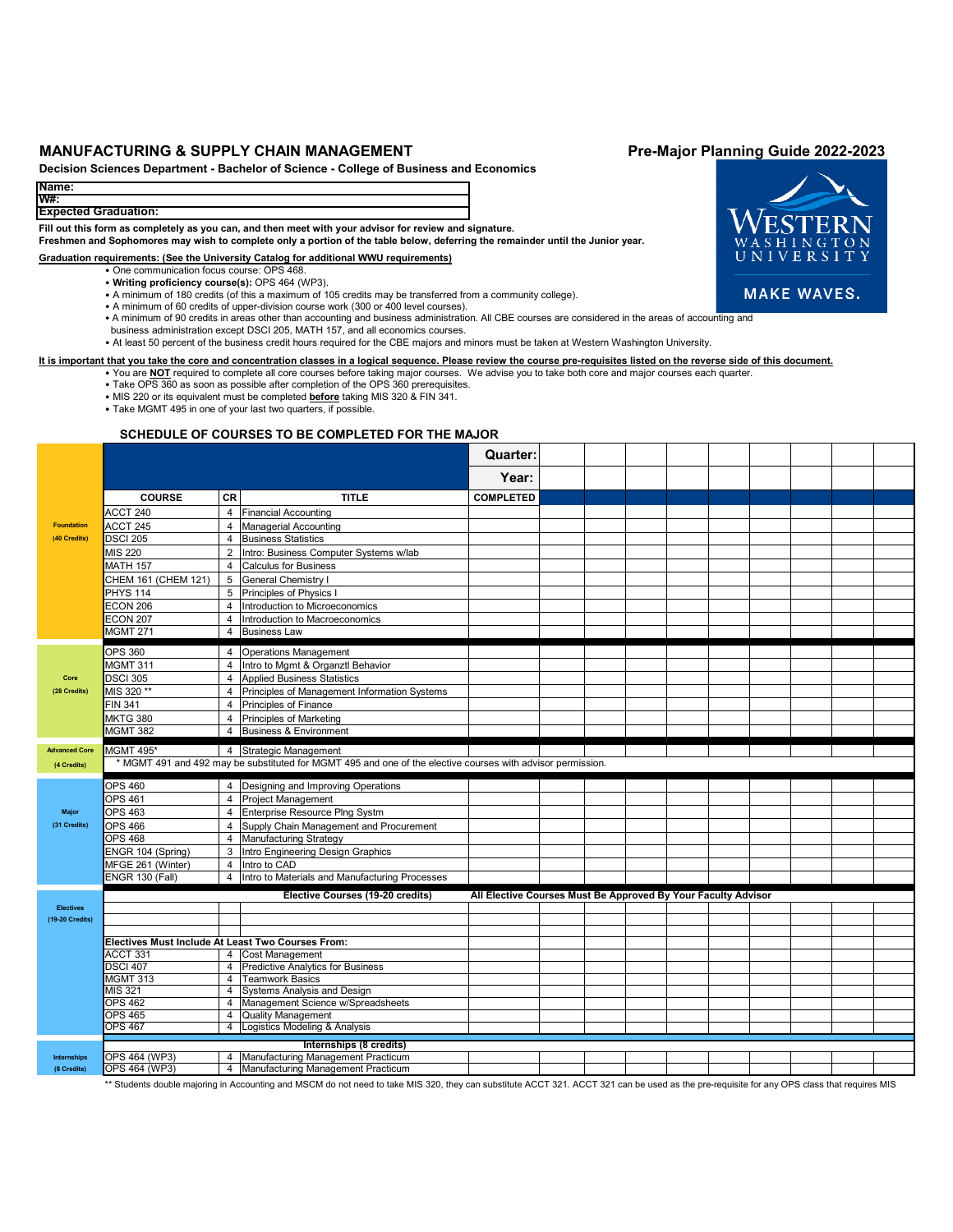# MANUFACTURING & SUPPLY CHAIN MANAGEMENT **Pre-Major Planning Guide 2022-2023**

**Decision Sciences Department - Bachelor of Science - College of Business and Economics**

### **Name: W#:**

# **Expected Graduation:**

**Fill out this form as completely as you can, and then meet with your advisor for review and signature.**

**Freshmen and Sophomores may wish to complete only a portion of the table below, deferring the remainder until the Junior year.**

## **Graduation requirements: (See the University Catalog for additional WWU requirements)**

- One communication focus course: OPS 468.
- **Writing proficiency course(s):** OPS 464 (WP3).
- A minimum of 180 credits (of this a maximum of 105 credits may be transferred from a community college).
- A minimum of 60 credits of upper-division course work (300 or 400 level courses).
- ∙ A minimum of 90 credits in areas other than accounting and business administration. All CBE courses are considered in the areas of accounting and<br>business administration except DSCI 205, MATH 157, and all economics cour
- At least 50 percent of the business credit hours required for the CBE majors and minors must be taken at Western Washington University.

# **It is important that you take the core and concentration classes in a logical sequence. Please review the course pre-requisites listed on the reverse side of this document.**

- You are **NOT** required to complete all core courses before taking major courses. We advise you to take both core and major courses each quarter. • Take OPS 360 as soon as possible after completion of the OPS 360 prerequisites.
	- MIS 220 or its equivalent must be completed **before** taking MIS 320 & FIN 341.
	- Take MGMT 495 in one of your last two quarters, if possible.

### **SCHEDULE OF COURSES TO BE COMPLETED FOR THE MAJOR**

|                                     |                                                   |                                                                                                             |                                                                  | Quarter:         |  |  |  |  |  |  |  |  |  |
|-------------------------------------|---------------------------------------------------|-------------------------------------------------------------------------------------------------------------|------------------------------------------------------------------|------------------|--|--|--|--|--|--|--|--|--|
|                                     |                                                   |                                                                                                             |                                                                  | Year:            |  |  |  |  |  |  |  |  |  |
|                                     | <b>COURSE</b>                                     | <b>CR</b>                                                                                                   | <b>TITLE</b>                                                     | <b>COMPLETED</b> |  |  |  |  |  |  |  |  |  |
|                                     | ACCT 240                                          |                                                                                                             | 4 Financial Accounting                                           |                  |  |  |  |  |  |  |  |  |  |
| <b>Foundation</b>                   | ACCT 245                                          | $\overline{4}$                                                                                              | <b>Managerial Accounting</b>                                     |                  |  |  |  |  |  |  |  |  |  |
| (40 Credits)                        | <b>DSCI 205</b>                                   |                                                                                                             | 4 Business Statistics                                            |                  |  |  |  |  |  |  |  |  |  |
|                                     | MIS 220                                           | 2                                                                                                           | Intro: Business Computer Systems w/lab                           |                  |  |  |  |  |  |  |  |  |  |
|                                     | <b>MATH 157</b>                                   | $\overline{4}$                                                                                              | <b>Calculus for Business</b>                                     |                  |  |  |  |  |  |  |  |  |  |
|                                     | CHEM 161 (CHEM 121)                               | 5 <sup>5</sup>                                                                                              | <b>General Chemistry I</b>                                       |                  |  |  |  |  |  |  |  |  |  |
|                                     | <b>PHYS 114</b>                                   |                                                                                                             | 5 Principles of Physics I                                        |                  |  |  |  |  |  |  |  |  |  |
|                                     | ECON 206                                          |                                                                                                             | 4 Introduction to Microeconomics                                 |                  |  |  |  |  |  |  |  |  |  |
|                                     | <b>ECON 207</b>                                   | $\overline{4}$                                                                                              | Introduction to Macroeconomics                                   |                  |  |  |  |  |  |  |  |  |  |
|                                     | <b>MGMT 271</b>                                   | $\overline{4}$                                                                                              | <b>Business Law</b>                                              |                  |  |  |  |  |  |  |  |  |  |
|                                     |                                                   |                                                                                                             |                                                                  |                  |  |  |  |  |  |  |  |  |  |
|                                     | <b>OPS 360</b>                                    |                                                                                                             | 4 Operations Management                                          |                  |  |  |  |  |  |  |  |  |  |
|                                     | <b>MGMT 311</b>                                   |                                                                                                             | 4 Intro to Mgmt & Organztl Behavior                              |                  |  |  |  |  |  |  |  |  |  |
| Core                                | <b>DSCI 305</b>                                   |                                                                                                             | 4 Applied Business Statistics                                    |                  |  |  |  |  |  |  |  |  |  |
| (28 Credits)                        | MIS 320 **                                        | $\overline{4}$                                                                                              | Principles of Management Information Systems                     |                  |  |  |  |  |  |  |  |  |  |
|                                     | <b>FIN 341</b>                                    | $\overline{4}$                                                                                              | Principles of Finance                                            |                  |  |  |  |  |  |  |  |  |  |
|                                     | <b>MKTG 380</b>                                   |                                                                                                             | 4 Principles of Marketing                                        |                  |  |  |  |  |  |  |  |  |  |
|                                     | <b>MGMT 382</b>                                   | $\overline{4}$                                                                                              | <b>Business &amp; Environment</b>                                |                  |  |  |  |  |  |  |  |  |  |
| <b>Advanced Core</b>                | <b>MGMT 495*</b>                                  |                                                                                                             | 4 Strategic Management                                           |                  |  |  |  |  |  |  |  |  |  |
| (4 Credits)                         |                                                   | * MGMT 491 and 492 may be substituted for MGMT 495 and one of the elective courses with advisor permission. |                                                                  |                  |  |  |  |  |  |  |  |  |  |
|                                     |                                                   |                                                                                                             |                                                                  |                  |  |  |  |  |  |  |  |  |  |
|                                     | <b>OPS 460</b>                                    |                                                                                                             | 4 Designing and Improving Operations                             |                  |  |  |  |  |  |  |  |  |  |
| <b>Major</b>                        | OPS 461                                           |                                                                                                             | 4 Project Management<br>4 Enterprise Resource Plng Systm         |                  |  |  |  |  |  |  |  |  |  |
|                                     | OPS 463                                           |                                                                                                             |                                                                  |                  |  |  |  |  |  |  |  |  |  |
| (31 Credits)                        | <b>OPS 466</b>                                    |                                                                                                             | 4 Supply Chain Management and Procurement                        |                  |  |  |  |  |  |  |  |  |  |
|                                     | <b>OPS 468</b>                                    |                                                                                                             | 4 Manufacturing Strategy                                         |                  |  |  |  |  |  |  |  |  |  |
|                                     | ENGR 104 (Spring)<br>MFGE 261 (Winter)            |                                                                                                             | 3 Intro Engineering Design Graphics                              |                  |  |  |  |  |  |  |  |  |  |
|                                     | <b>ENGR 130 (Fall)</b>                            | $\overline{4}$                                                                                              | 4 Intro to CAD<br>Intro to Materials and Manufacturing Processes |                  |  |  |  |  |  |  |  |  |  |
|                                     |                                                   |                                                                                                             |                                                                  |                  |  |  |  |  |  |  |  |  |  |
|                                     |                                                   | Elective Courses (19-20 credits)<br>All Elective Courses Must Be Approved By Your Faculty Advisor           |                                                                  |                  |  |  |  |  |  |  |  |  |  |
| <b>Electives</b><br>(19-20 Credits) |                                                   |                                                                                                             |                                                                  |                  |  |  |  |  |  |  |  |  |  |
|                                     |                                                   |                                                                                                             |                                                                  |                  |  |  |  |  |  |  |  |  |  |
|                                     | Electives Must Include At Least Two Courses From: |                                                                                                             |                                                                  |                  |  |  |  |  |  |  |  |  |  |
|                                     | ACCT 331                                          |                                                                                                             | 4 Cost Management                                                |                  |  |  |  |  |  |  |  |  |  |
|                                     | <b>DSCI 407</b>                                   |                                                                                                             | 4 Predictive Analytics for Business                              |                  |  |  |  |  |  |  |  |  |  |
|                                     | <b>MGMT 313</b>                                   |                                                                                                             | 4 Teamwork Basics                                                |                  |  |  |  |  |  |  |  |  |  |
|                                     | MIS 321                                           |                                                                                                             | 4 Systems Analysis and Design                                    |                  |  |  |  |  |  |  |  |  |  |
|                                     | <b>OPS 462</b>                                    |                                                                                                             | 4 Management Science w/Spreadsheets                              |                  |  |  |  |  |  |  |  |  |  |
|                                     | <b>OPS 465</b>                                    |                                                                                                             | 4 Quality Management                                             |                  |  |  |  |  |  |  |  |  |  |
|                                     | <b>OPS 467</b>                                    | $\overline{4}$                                                                                              | Logistics Modeling & Analysis                                    |                  |  |  |  |  |  |  |  |  |  |
|                                     |                                                   |                                                                                                             | Internships (8 credits)                                          |                  |  |  |  |  |  |  |  |  |  |
| Internships                         | OPS 464 (WP3)                                     |                                                                                                             | 4 Manufacturing Management Practicum                             |                  |  |  |  |  |  |  |  |  |  |
| (8 Credits)                         | OPS 464 (WP3)                                     |                                                                                                             | 4 Manufacturing Management Practicum                             |                  |  |  |  |  |  |  |  |  |  |

\*\* Students double majoring in Accounting and MSCM do not need to take MIS 320, they can substitute ACCT 321. ACCT 321 can be used as the pre-requisite for any OPS class that requires MIS